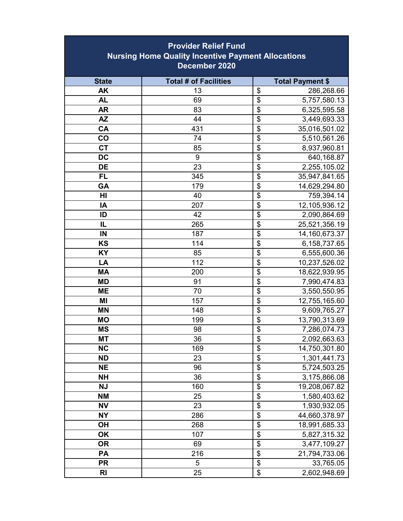| <b>Provider Relief Fund</b><br><b>Nursing Home Quality Incentive Payment Allocations</b><br>December 2020 |           |  |  |
|-----------------------------------------------------------------------------------------------------------|-----------|--|--|
| <b>Total # of Facilities</b><br><b>Total Payment \$</b><br><b>State</b>                                   |           |  |  |
| \$<br><b>AK</b><br>13<br>286,268.66                                                                       |           |  |  |
| $\overline{\$}$<br><b>AL</b><br>69<br>5,757,580.13                                                        |           |  |  |
| $\overline{\mathbf{S}}$<br><b>AR</b><br>83<br>6,325,595.58                                                |           |  |  |
| $\overline{\mathbf{S}}$<br><b>AZ</b><br>44<br>3,449,693.33                                                |           |  |  |
| $\overline{\mathbf{S}}$<br><b>CA</b><br>35,016,501.02<br>431                                              |           |  |  |
| $\overline{\$}$<br>CO<br>5,510,561.26<br>74                                                               |           |  |  |
| $\overline{\$}$<br><b>CT</b><br>8,937,960.81<br>85                                                        |           |  |  |
| $\overline{\$}$<br><b>DC</b><br>9<br>640,168.87                                                           |           |  |  |
| $\overline{\mathbf{S}}$<br><b>DE</b><br>23<br>2,255,105.02                                                |           |  |  |
| $\overline{\$}$<br><b>FL</b><br>345<br>35,947,841.65                                                      |           |  |  |
| $\overline{\mathbf{S}}$<br>GA<br>14,629,294.80<br>179                                                     |           |  |  |
| \$<br>HI<br>40<br>759,394.14                                                                              |           |  |  |
| $\overline{\mathbf{S}}$<br>IA<br>207<br>12,105,936.12                                                     |           |  |  |
| \$<br>ID<br>42<br>2,090,864.69                                                                            |           |  |  |
| $\overline{\$}$<br>IL<br>265<br>25,521,356.19                                                             |           |  |  |
| $\overline{\$}$<br>IN<br>187<br>14,160,673.37                                                             |           |  |  |
| $\overline{\$}$<br><b>KS</b><br>114<br>6,158,737.65                                                       |           |  |  |
| $\overline{\$}$<br>85<br>6,555,600.36<br><b>KY</b>                                                        |           |  |  |
| $\overline{\$}$<br>LA<br>112<br>10,237,526.02                                                             |           |  |  |
| $\overline{\$}$<br><b>MA</b><br>200<br>18,622,939.95                                                      |           |  |  |
| $\overline{\$}$<br><b>MD</b><br>91<br>7,990,474.83                                                        |           |  |  |
| $\overline{\mathbf{S}}$<br><b>ME</b><br>70<br>3,550,550.95                                                |           |  |  |
| $\overline{\mathbf{S}}$<br>MI<br>157<br>12,755,165.60                                                     |           |  |  |
| $\overline{\mathbf{S}}$<br><b>MN</b><br>148<br>9,609,765.27                                               |           |  |  |
| $\overline{\$}$<br><b>MO</b><br>13,790,313.69<br>199                                                      |           |  |  |
| $\overline{\$}$<br><b>MS</b><br>7,286,074.73<br>98                                                        |           |  |  |
| <b>MT</b><br>36<br>\$<br>2,092,663.63                                                                     |           |  |  |
| $\overline{\mathbf{S}}$<br><b>NC</b><br>14,750,301.80<br>169                                              |           |  |  |
| $\overline{\mathbf{S}}$<br><b>ND</b><br>23<br>1,301,441.73                                                |           |  |  |
| $\overline{\$}$<br><b>NE</b><br>96<br>5,724,503.25                                                        |           |  |  |
| \$<br>36<br>3,175,866.08<br><b>NH</b><br>$\overline{\$}$<br><b>NJ</b><br>160                              |           |  |  |
| 19,208,067.82<br>$\overline{\$}$<br><b>NM</b><br>25                                                       |           |  |  |
| 1,580,403.62<br>\$<br><b>NV</b><br>23<br>1,930,932.05                                                     |           |  |  |
| $\overline{\$}$<br><b>NY</b><br>44,660,378.97<br>286                                                      |           |  |  |
| $\overline{\mathbf{S}}$<br>OH<br>18,991,685.33<br>268                                                     |           |  |  |
| $\overline{\$}$<br><b>OK</b><br>5,827,315.32<br>107                                                       |           |  |  |
| $\overline{\$}$<br>3,477,109.27<br><b>OR</b><br>69                                                        |           |  |  |
| $\overline{\mathfrak{s}}$<br>PA<br>216<br>21,794,733.06                                                   |           |  |  |
| $\overline{\$}$<br><b>PR</b><br>5                                                                         | 33,765.05 |  |  |
| $\overline{\$}$<br>R <sub>l</sub><br>25<br>2,602,948.69                                                   |           |  |  |